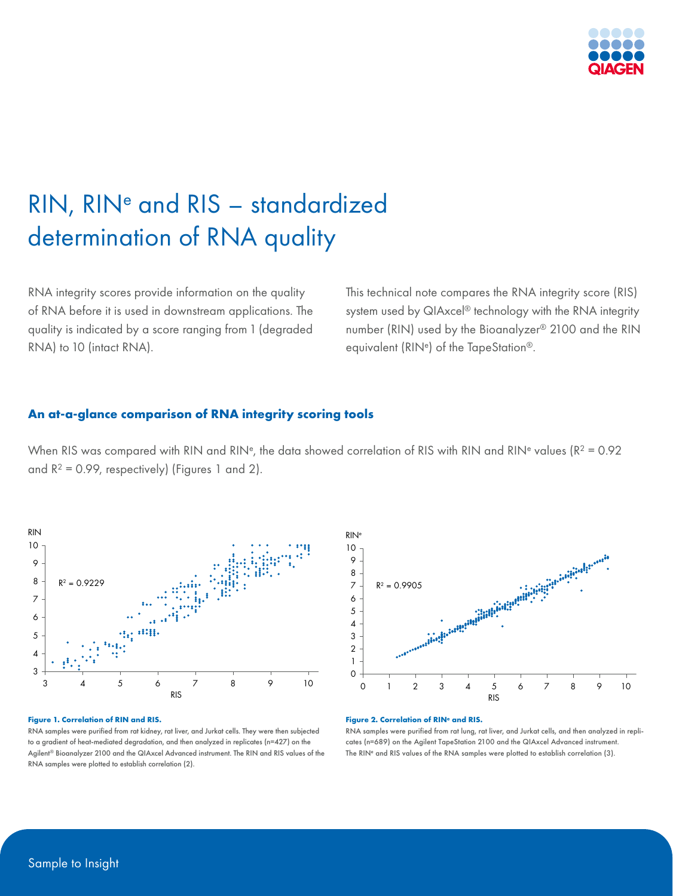

# RIN, RINe and RIS – standardized determination of RNA quality

RNA integrity scores provide information on the quality of RNA before it is used in downstream applications. The quality is indicated by a score ranging from 1 (degraded RNA) to 10 (intact RNA).

This technical note compares the RNA integrity score (RIS) system used by QIAxcel® technology with the RNA integrity number (RIN) used by the Bioanalyzer® 2100 and the RIN equivalent (RINe) of the TapeStation®.

### **An at-a-glance comparison of RNA integrity scoring tools**

When RIS was compared with RIN and RIN<sup>e</sup>, the data showed correlation of RIS with RIN and RIN<sup>e</sup> values ( $R^2 = 0.92$ ) and  $R^2 = 0.99$ , respectively) (Figures 1 and 2).



#### **Figure 1. Correlation of RIN and RIS.**

RNA samples were purified from rat kidney, rat liver, and Jurkat cells. They were then subjected to a gradient of heat-mediated degradation, and then analyzed in replicates (n=427) on the Agilent® Bioanalyzer 2100 and the QIAxcel Advanced instrument. The RIN and RIS values of the RNA samples were plotted to establish correlation (2).



#### **Figure 2. Correlation of RIN<sup>e</sup> and RIS.**

RNA samples were purified from rat lung, rat liver, and Jurkat cells, and then analyzed in replicates (n=689) on the Agilent TapeStation 2100 and the QIAxcel Advanced instrument. The RIN<sup>e</sup> and RIS values of the RNA samples were plotted to establish correlation (3).